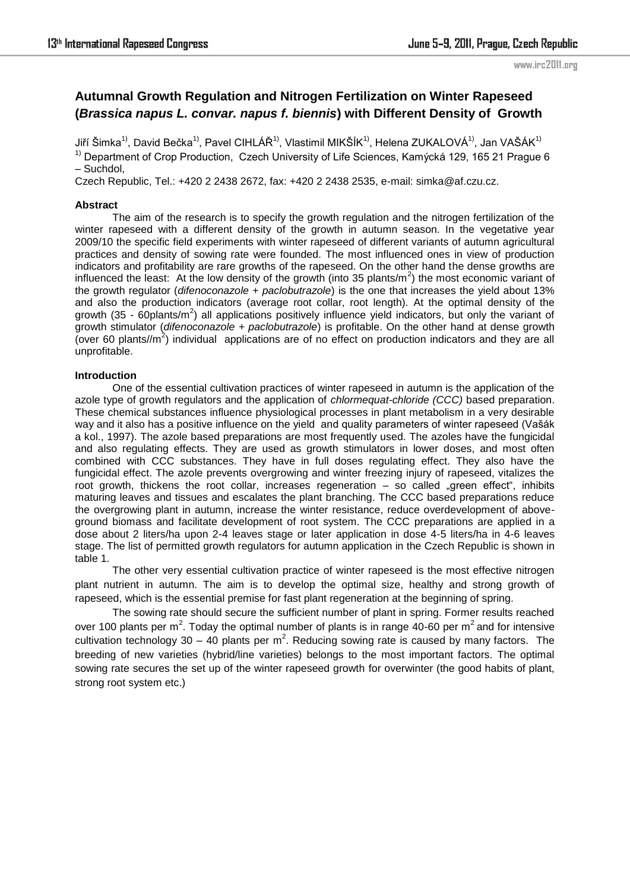# **Autumnal Growth Regulation and Nitrogen Fertilization on Winter Rapeseed (***Brassica napus L. convar. napus f. biennis***) with Different Density of Growth**

Jiří Šimka<sup>1)</sup>, David Bečka<sup>1)</sup>, Pavel CIHLÁŘ<sup>1)</sup>, Vlastimil MIKŠÍK<sup>1)</sup>, Helena ZUKALOVÁ<sup>1)</sup>, Jan VAŠÁK<sup>1)</sup>  $1)$  Department of Crop Production, Czech University of Life Sciences, Kamýcká 129, 165 21 Prague 6 – Suchdol,

Czech Republic, Tel.: +420 2 2438 2672, fax: +420 2 2438 2535, e-mail: simka@af.czu.cz.

### **Abstract**

The aim of the research is to specify the growth regulation and the nitrogen fertilization of the winter rapeseed with a different density of the growth in autumn season. In the vegetative year 2009/10 the specific field experiments with winter rapeseed of different variants of autumn agricultural practices and density of sowing rate were founded. The most influenced ones in view of production indicators and profitability are rare growths of the rapeseed. On the other hand the dense growths are influenced the least: At the low density of the growth (into 35 plants/ $m^2$ ) the most economic variant of the growth regulator (*difenoconazole + paclobutrazole*) is the one that increases the yield about 13% and also the production indicators (average root collar, root length). At the optimal density of the growth (35 - 60plants/m<sup>2</sup>) all applications positively influence yield indicators, but only the variant of growth stimulator (*difenoconazole + paclobutrazole*) is profitable. On the other hand at dense growth (over 60 plants// $m^2$ ) individual applications are of no effect on production indicators and they are all unprofitable.

### **Introduction**

One of the essential cultivation practices of winter rapeseed in autumn is the application of the azole type of growth regulators and the application of *chlormequat-chloride (CCC)* based preparation. These chemical substances influence physiological processes in plant metabolism in a very desirable way and it also has a positive influence on the yield and quality parameters of winter rapeseed (Vašák a kol., 1997). The azole based preparations are most frequently used. The azoles have the fungicidal and also regulating effects. They are used as growth stimulators in lower doses, and most often combined with CCC substances. They have in full doses regulating effect. They also have the fungicidal effect. The azole prevents overgrowing and winter freezing injury of rapeseed, vitalizes the root growth, thickens the root collar, increases regeneration  $-$  so called "green effect", inhibits maturing leaves and tissues and escalates the plant branching. The CCC based preparations reduce the overgrowing plant in autumn, increase the winter resistance, reduce overdevelopment of aboveground biomass and facilitate development of root system. The CCC preparations are applied in a dose about 2 liters/ha upon 2-4 leaves stage or later application in dose 4-5 liters/ha in 4-6 leaves stage. The list of permitted growth regulators for autumn application in the Czech Republic is shown in table 1.

The other very essential cultivation practice of winter rapeseed is the most effective nitrogen plant nutrient in autumn. The aim is to develop the optimal size, healthy and strong growth of rapeseed, which is the essential premise for fast plant regeneration at the beginning of spring.

The sowing rate should secure the sufficient number of plant in spring. Former results reached over 100 plants per m<sup>2</sup>. Today the optimal number of plants is in range 40-60 per m<sup>2</sup> and for intensive cultivation technology 30 – 40 plants per m<sup>2</sup>. Reducing sowing rate is caused by many factors. The breeding of new varieties (hybrid/line varieties) belongs to the most important factors. The optimal sowing rate secures the set up of the winter rapeseed growth for overwinter (the good habits of plant, strong root system etc.)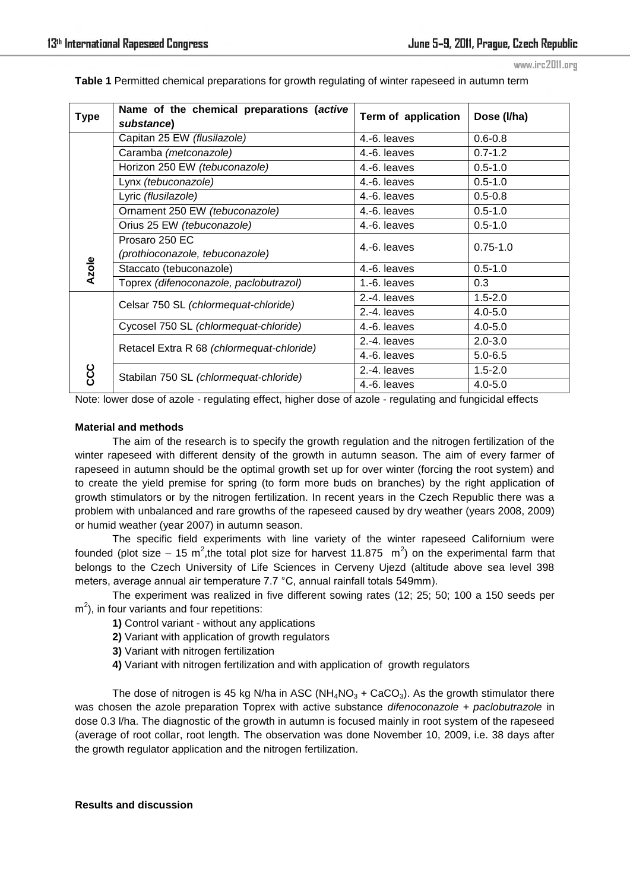| Table 1 Permitted chemical preparations for growth regulating of winter rapeseed in autumn term |  |  |
|-------------------------------------------------------------------------------------------------|--|--|
|                                                                                                 |  |  |

| <b>Type</b>  | Name of the chemical preparations (active<br>substance) | Term of application | Dose (I/ha)  |
|--------------|---------------------------------------------------------|---------------------|--------------|
|              | Capitan 25 EW (flusilazole)                             | 4.-6. leaves        | $0.6 - 0.8$  |
|              | Caramba (metconazole)                                   | 4.-6. leaves        | $0.7 - 1.2$  |
| <b>Azole</b> | Horizon 250 EW (tebuconazole)                           | 4.-6. leaves        | $0.5 - 1.0$  |
|              | Lynx (tebuconazole)                                     | 4.-6. leaves        | $0.5 - 1.0$  |
|              | Lyric (flusilazole)                                     | 4.-6. leaves        | $0.5 - 0.8$  |
|              | Ornament 250 EW (tebuconazole)                          | 4.-6. leaves        | $0.5 - 1.0$  |
|              | Orius 25 EW (tebuconazole)                              | 4.-6. leaves        | $0.5 - 1.0$  |
|              | Prosaro 250 EC                                          | 4.-6. leaves        | $0.75 - 1.0$ |
|              | (prothioconazole, tebuconazole)                         |                     |              |
|              | Staccato (tebuconazole)                                 | 4.-6. leaves        | $0.5 - 1.0$  |
|              | Toprex (difenoconazole, paclobutrazol)                  | $1.-6.$ leaves      | 0.3          |
| ပ္ပိ         | Celsar 750 SL (chlormequat-chloride)                    | 2.-4. leaves        | $1.5 - 2.0$  |
|              |                                                         | 2.-4. leaves        | $4.0 - 5.0$  |
|              | Cycosel 750 SL (chlormequat-chloride)                   | 4.-6. leaves        | $4.0 - 5.0$  |
|              | Retacel Extra R 68 (chlormequat-chloride)               | 2.-4. leaves        | $2.0 - 3.0$  |
|              |                                                         | 4.-6. leaves        | $5.0 - 6.5$  |
|              | Stabilan 750 SL (chlormequat-chloride)                  | 2.-4. leaves        | $1.5 - 2.0$  |
|              |                                                         | 4.-6. leaves        | $4.0 - 5.0$  |

Note: lower dose of azole - regulating effect, higher dose of azole - regulating and fungicidal effects

# **Material and methods**

The aim of the research is to specify the growth regulation and the nitrogen fertilization of the winter rapeseed with different density of the growth in autumn season. The aim of every farmer of rapeseed in autumn should be the optimal growth set up for over winter (forcing the root system) and to create the yield premise for spring (to form more buds on branches) by the right application of growth stimulators or by the nitrogen fertilization. In recent years in the Czech Republic there was a problem with unbalanced and rare growths of the rapeseed caused by dry weather (years 2008, 2009) or humid weather (year 2007) in autumn season.

The specific field experiments with line variety of the winter rapeseed Californium were founded (plot size – 15 m<sup>2</sup>, the total plot size for harvest 11.875 m<sup>2</sup>) on the experimental farm that belongs to the Czech University of Life Sciences in Cerveny Ujezd (altitude above sea level 398 meters, average annual air temperature 7.7 °C, annual rainfall totals 549mm).

The experiment was realized in five different sowing rates (12; 25; 50; 100 a 150 seeds per  $m<sup>2</sup>$ ), in four variants and four repetitions:

- **1)** Control variant without any applications
- **2)** Variant with application of growth regulators
- **3)** Variant with nitrogen fertilization
- **4)** Variant with nitrogen fertilization and with application of growth regulators

The dose of nitrogen is 45 kg N/ha in ASC (NH<sub>4</sub>NO<sub>3</sub> + CaCO<sub>3</sub>). As the growth stimulator there was chosen the azole preparation Toprex with active substance *difenoconazole + paclobutrazole* in dose 0.3 l/ha. The diagnostic of the growth in autumn is focused mainly in root system of the rapeseed (average of root collar, root length*.* The observation was done November 10, 2009, i.e. 38 days after the growth regulator application and the nitrogen fertilization.

#### **Results and discussion**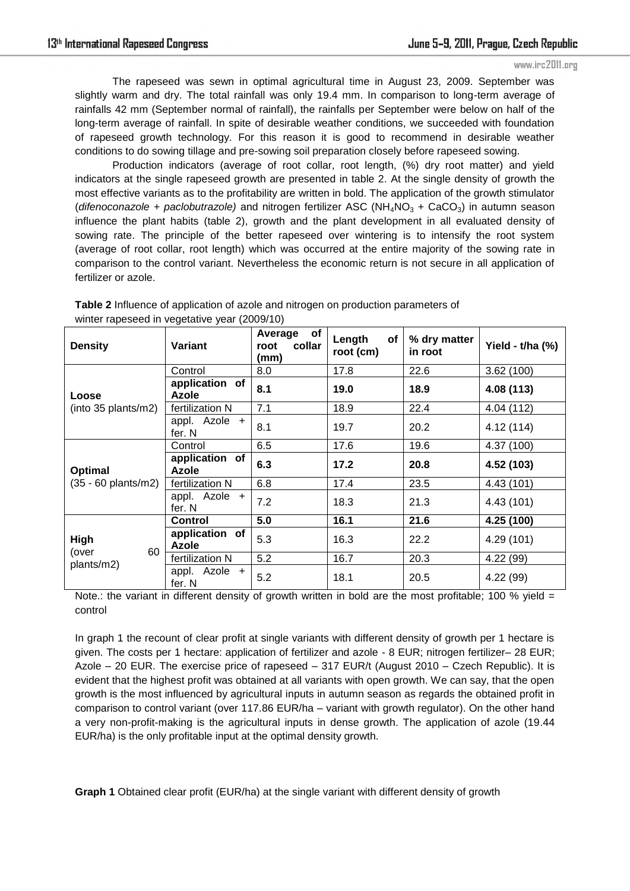The rapeseed was sewn in optimal agricultural time in August 23, 2009. September was slightly warm and dry. The total rainfall was only 19.4 mm. In comparison to long-term average of rainfalls 42 mm (September normal of rainfall), the rainfalls per September were below on half of the long-term average of rainfall. In spite of desirable weather conditions, we succeeded with foundation of rapeseed growth technology. For this reason it is good to recommend in desirable weather conditions to do sowing tillage and pre-sowing soil preparation closely before rapeseed sowing.

Production indicators (average of root collar, root length, (%) dry root matter) and yield indicators at the single rapeseed growth are presented in table 2. At the single density of growth the most effective variants as to the profitability are written in bold. The application of the growth stimulator (*difenoconazole + paclobutrazole*) and nitrogen fertilizer ASC (NH<sub>4</sub>NO<sub>3</sub> + CaCO<sub>3</sub>) in autumn season influence the plant habits (table 2), growth and the plant development in all evaluated density of sowing rate. The principle of the better rapeseed over wintering is to intensify the root system (average of root collar, root length) which was occurred at the entire majority of the sowing rate in comparison to the control variant. Nevertheless the economic return is not secure in all application of fertilizer or azole.

| <b>Density</b>                    | Variant                        | of<br>Average<br>collar<br>root<br>(mm) | Length<br>of<br>root (cm) | % dry matter<br>in root | Yield - t/ha (%) |
|-----------------------------------|--------------------------------|-----------------------------------------|---------------------------|-------------------------|------------------|
| Loose<br>(into 35 plants/m2)      | Control                        | 8.0                                     | 17.8                      | 22.6                    | 3.62(100)        |
|                                   | application of<br><b>Azole</b> | 8.1                                     | 19.0                      | 18.9                    | 4.08 (113)       |
|                                   | fertilization N                | 7.1                                     | 18.9                      | 22.4                    | 4.04 (112)       |
|                                   | appl. Azole +<br>fer. N        | 8.1                                     | 19.7                      | 20.2                    | 4.12 (114)       |
| Optimal<br>(35 - 60 plants/m2)    | Control                        | 6.5                                     | 17.6                      | 19.6                    | 4.37 (100)       |
|                                   | application of<br><b>Azole</b> | 6.3                                     | 17.2                      | 20.8                    | 4.52 (103)       |
|                                   | fertilization N                | 6.8                                     | 17.4                      | 23.5                    | 4.43 (101)       |
|                                   | appl. Azole +<br>fer. N        | 7.2                                     | 18.3                      | 21.3                    | 4.43 (101)       |
| High<br>60<br>(over<br>plants/m2) | <b>Control</b>                 | 5.0                                     | 16.1                      | 21.6                    | 4.25 (100)       |
|                                   | application of<br><b>Azole</b> | 5.3                                     | 16.3                      | 22.2                    | 4.29 (101)       |
|                                   | fertilization N                | 5.2                                     | 16.7                      | 20.3                    | 4.22 (99)        |
|                                   | appl. Azole +<br>fer. N        | 5.2                                     | 18.1                      | 20.5                    | 4.22 (99)        |

**Table 2** Influence of application of azole and nitrogen on production parameters of winter rapeseed in vegetative year (2009/10)

Note.: the variant in different density of growth written in bold are the most profitable; 100 % yield  $=$ control

In graph 1 the recount of clear profit at single variants with different density of growth per 1 hectare is given. The costs per 1 hectare: application of fertilizer and azole - 8 EUR; nitrogen fertilizer– 28 EUR; Azole – 20 EUR. The exercise price of rapeseed – 317 EUR/t (August 2010 – Czech Republic). It is evident that the highest profit was obtained at all variants with open growth. We can say, that the open growth is the most influenced by agricultural inputs in autumn season as regards the obtained profit in comparison to control variant (over 117.86 EUR/ha – variant with growth regulator). On the other hand a very non-profit-making is the agricultural inputs in dense growth. The application of azole (19.44 EUR/ha) is the only profitable input at the optimal density growth.

**Graph 1** Obtained clear profit (EUR/ha) at the single variant with different density of growth